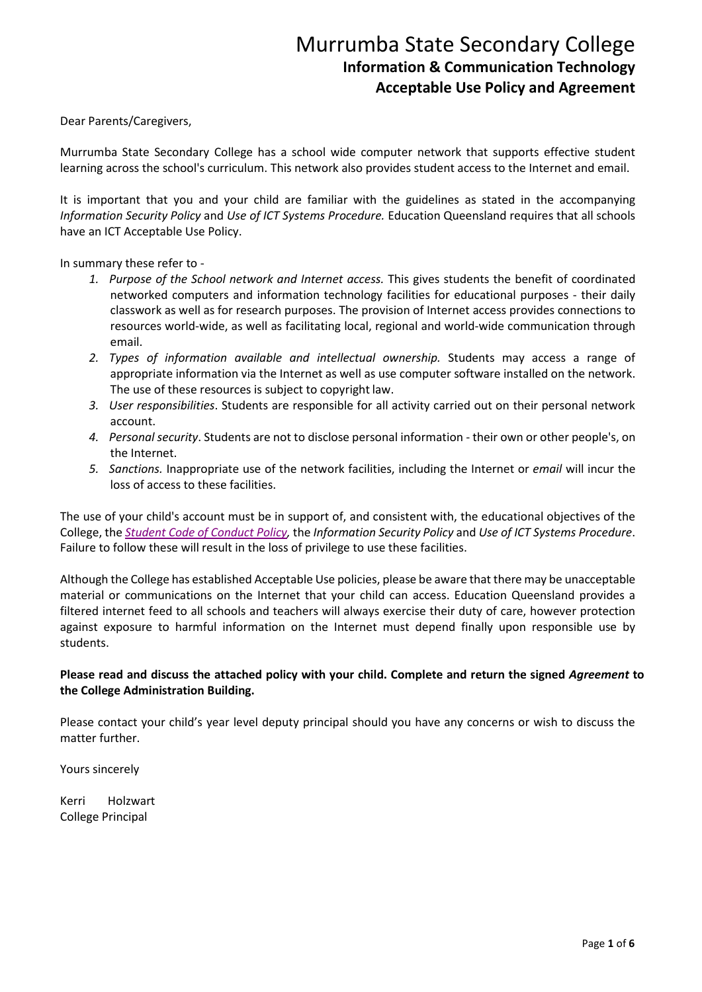Dear Parents/Caregivers,

Murrumba State Secondary College has a school wide computer network that supports effective student learning across the school's curriculum. This network also provides student access to the Internet and email.

It is important that you and your child are familiar with the guidelines as stated in the accompanying *Information Security Policy* and *Use of ICT Systems Procedure.* Education Queensland requires that all schools have an ICT Acceptable Use Policy.

In summary these refer to -

- *1. Purpose of the School network and Internet access.* This gives students the benefit of coordinated networked computers and information technology facilities for educational purposes - their daily classwork as well as for research purposes. The provision of Internet access provides connections to resources world-wide, as well as facilitating local, regional and world-wide communication through email.
- *2. Types of information available and intellectual ownership.* Students may access a range of appropriate information via the Internet as well as use computer software installed on the network. The use of these resources is subject to copyright law.
- *3. User responsibilities*. Students are responsible for all activity carried out on their personal network account.
- *4. Personal security*. Students are not to disclose personal information their own or other people's, on the Internet.
- *5. Sanctions.* Inappropriate use of the network facilities, including the Internet or *email* will incur the loss of access to these facilities.

The use of your child's account must be in support of, and consistent with, the educational objectives of the College, the *[Student Code of Conduct Policy,](https://murrumbassc.eq.edu.au/SupportAndResources/FormsAndDocuments/Documents/Student%20Code%20of%20Conduct%20-%20Murrumba%20SSC.pdf)* the *Information Security Policy* and *Use of ICT Systems Procedure*. Failure to follow these will result in the loss of privilege to use these facilities.

Although the College has established Acceptable Use policies, please be aware that there may be unacceptable material or communications on the Internet that your child can access. Education Queensland provides a filtered internet feed to all schools and teachers will always exercise their duty of care, however protection against exposure to harmful information on the Internet must depend finally upon responsible use by students.

### **Please read and discuss the attached policy with your child. Complete and return the signed** *Agreement* **to the College Administration Building.**

Please contact your child's year level deputy principal should you have any concerns or wish to discuss the matter further.

Yours sincerely

Kerri Holzwart College Principal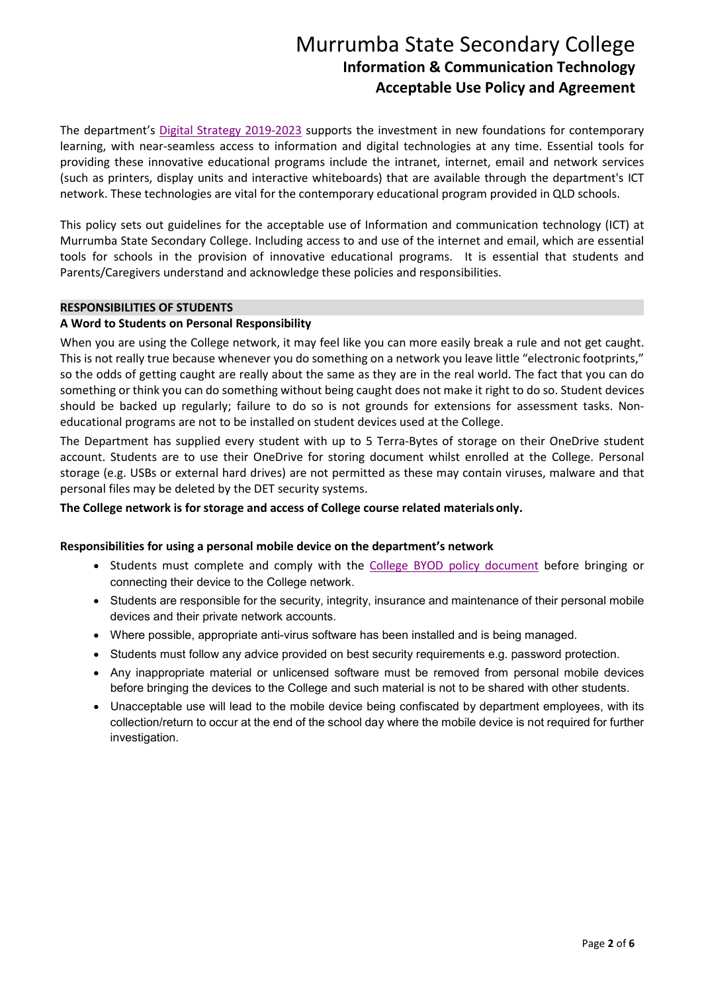The department's [Digital Strategy 2019-2023](https://qed.qld.gov.au/publications/strategies/digital-strategy) supports the investment in new foundations for contemporary learning, with near-seamless access to information and digital technologies at any time. Essential tools for providing these innovative educational programs include the intranet, internet, email and network services (such as printers, display units and interactive whiteboards) that are available through the department's ICT network. These technologies are vital for the contemporary educational program provided in QLD schools.

This policy sets out guidelines for the acceptable use of Information and communication technology (ICT) at Murrumba State Secondary College. Including access to and use of the internet and email, which are essential tools for schools in the provision of innovative educational programs. It is essential that students and Parents/Caregivers understand and acknowledge these policies and responsibilities.

### **RESPONSIBILITIES OF STUDENTS**

### **A Word to Students on Personal Responsibility**

When you are using the College network, it may feel like you can more easily break a rule and not get caught. This is not really true because whenever you do something on a network you leave little "electronic footprints," so the odds of getting caught are really about the same as they are in the real world. The fact that you can do something or think you can do something without being caught does not make it right to do so. Student devices should be backed up regularly; failure to do so is not grounds for extensions for assessment tasks. Noneducational programs are not to be installed on student devices used at the College.

The Department has supplied every student with up to 5 Terra-Bytes of storage on their OneDrive student account. Students are to use their OneDrive for storing document whilst enrolled at the College. Personal storage (e.g. USBs or external hard drives) are not permitted as these may contain viruses, malware and that personal files may be deleted by the DET security systems.

#### **The College network is for storage and access of College course related materials only.**

#### **Responsibilities for using a personal mobile device on the department's network**

- Students must complete and comply with the [College BYOD policy document](https://murrumbassc.eq.edu.au/Supportandresources/Formsanddocuments/Documents/BYOD%20Forms%20and%20Documents/murrumba_acu_policy_byod.pdf) before bringing or connecting their device to the College network.
- Students are responsible for the security, integrity, insurance and maintenance of their personal mobile devices and their private network accounts.
- Where possible, appropriate anti-virus software has been installed and is being managed.
- Students must follow any advice provided on best security requirements e.g. password protection.
- Any inappropriate material or unlicensed software must be removed from personal mobile devices before bringing the devices to the College and such material is not to be shared with other students.
- Unacceptable use will lead to the mobile device being confiscated by department employees, with its collection/return to occur at the end of the school day where the mobile device is not required for further investigation.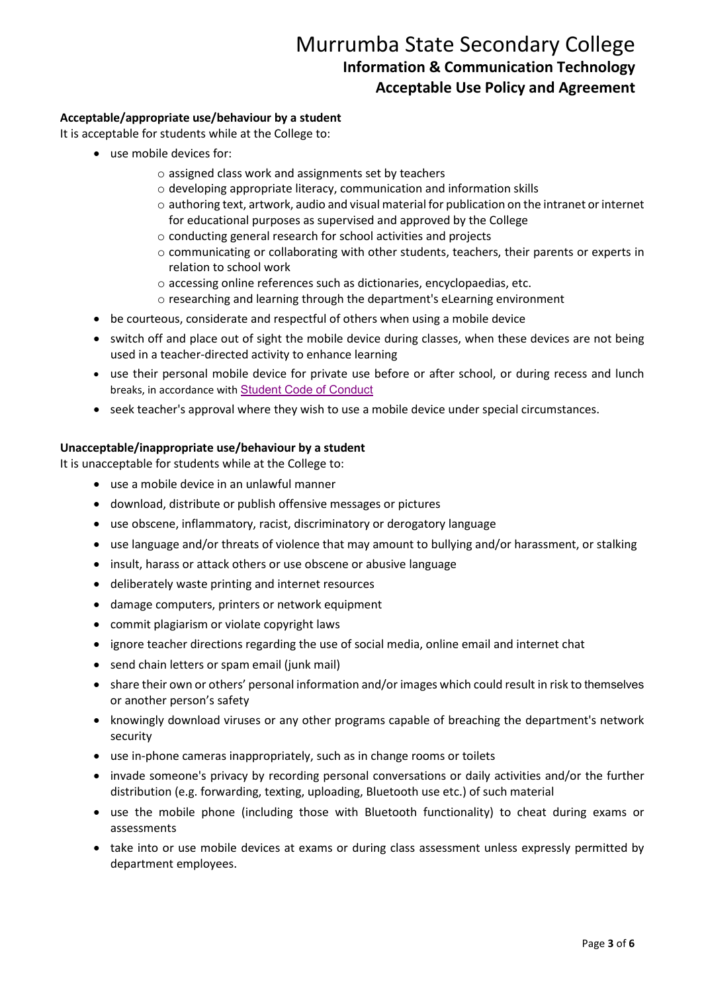### **Acceptable/appropriate use/behaviour by a student**

It is acceptable for students while at the College to:

- use mobile devices for:
	- o assigned class work and assignments set by teachers
	- o developing appropriate literacy, communication and information skills
	- o authoring text, artwork, audio and visual material for publication on the intranet or internet for educational purposes as supervised and approved by the College
	- o conducting general research for school activities and projects
	- o communicating or collaborating with other students, teachers, their parents or experts in relation to school work
	- o accessing online references such as dictionaries, encyclopaedias, etc.
	- o researching and learning through the department's eLearning environment
- be courteous, considerate and respectful of others when using a mobile device
- switch off and place out of sight the mobile device during classes, when these devices are not being used in a teacher-directed activity to enhance learning
- use their personal mobile device for private use before or after school, or during recess and lunch breaks, in accordance with [Student Code of Conduct](https://murrumbassc.eq.edu.au/SupportAndResources/FormsAndDocuments/Documents/Student%20Code%20of%20Conduct%20-%20Murrumba%20SSC.pdf)
- seek teacher's approval where they wish to use a mobile device under special circumstances.

#### **Unacceptable/inappropriate use/behaviour by a student**

It is unacceptable for students while at the College to:

- use a mobile device in an unlawful manner
- download, distribute or publish offensive messages or pictures
- use obscene, inflammatory, racist, discriminatory or derogatory language
- use language and/or threats of violence that may amount to bullying and/or harassment, or stalking
- insult, harass or attack others or use obscene or abusive language
- deliberately waste printing and internet resources
- damage computers, printers or network equipment
- commit plagiarism or violate copyright laws
- ignore teacher directions regarding the use of social media, online email and internet chat
- send chain letters or spam email (junk mail)
- share their own or others' personal information and/or images which could result in risk to themselves or another person's safety
- knowingly download viruses or any other programs capable of breaching the department's network security
- use in-phone cameras inappropriately, such as in change rooms or toilets
- invade someone's privacy by recording personal conversations or daily activities and/or the further distribution (e.g. forwarding, texting, uploading, Bluetooth use etc.) of such material
- use the mobile phone (including those with Bluetooth functionality) to cheat during exams or assessments
- take into or use mobile devices at exams or during class assessment unless expressly permitted by department employees.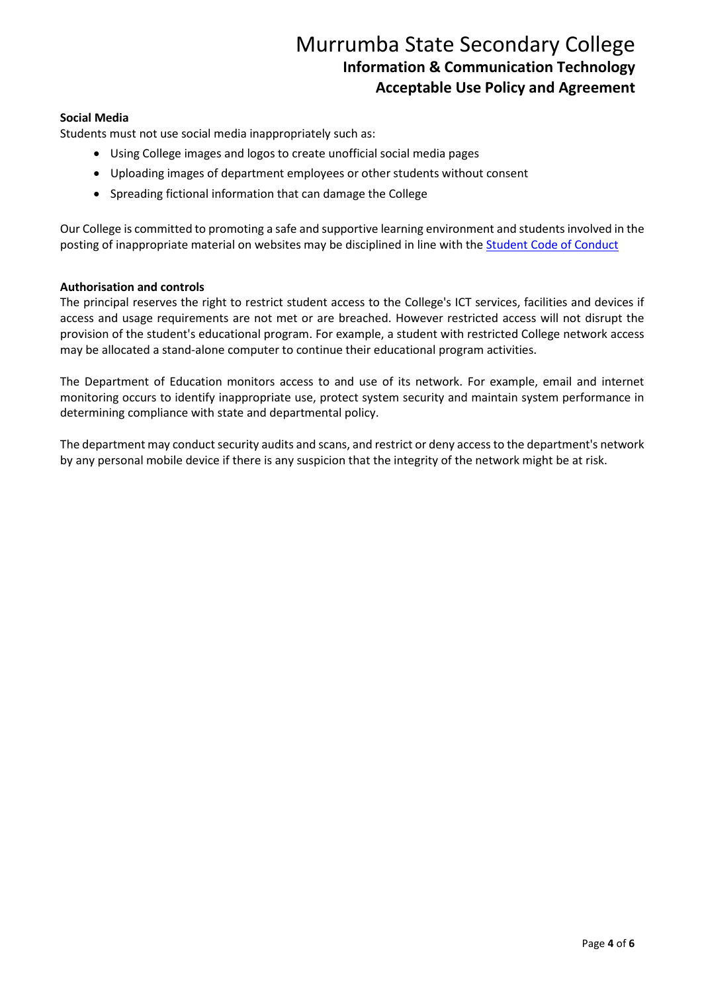#### **Social Media**

Students must not use social media inappropriately such as:

- Using College images and logos to create unofficial social media pages
- Uploading images of department employees or other students without consent
- Spreading fictional information that can damage the College

Our College is committed to promoting a safe and supportive learning environment and students involved in the posting of inappropriate material on websites may be disciplined in line with the **Student Code of Conduct** 

#### **Authorisation and controls**

The principal reserves the right to restrict student access to the College's ICT services, facilities and devices if access and usage requirements are not met or are breached. However restricted access will not disrupt the provision of the student's educational program. For example, a student with restricted College network access may be allocated a stand-alone computer to continue their educational program activities.

The Department of Education monitors access to and use of its network. For example, email and internet monitoring occurs to identify inappropriate use, protect system security and maintain system performance in determining compliance with state and departmental policy.

The department may conduct security audits and scans, and restrict or deny access to the department's network by any personal mobile device if there is any suspicion that the integrity of the network might be at risk.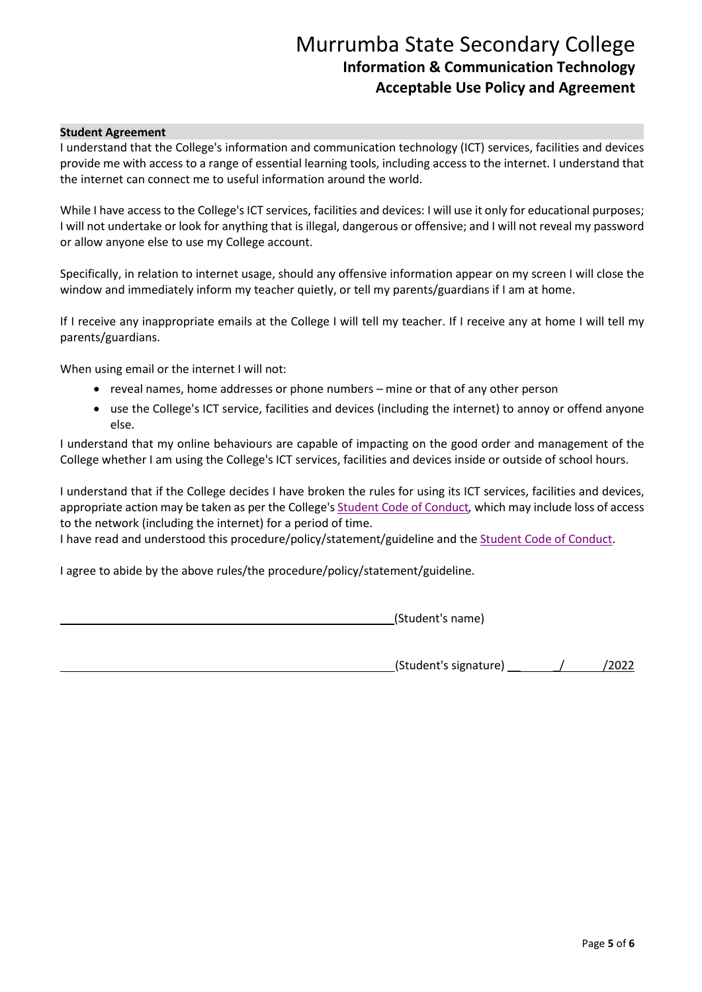#### **Student Agreement**

I understand that the College's information and communication technology (ICT) services, facilities and devices provide me with access to a range of essential learning tools, including access to the internet. I understand that the internet can connect me to useful information around the world.

While I have access to the College's ICT services, facilities and devices: I will use it only for educational purposes; I will not undertake or look for anything that is illegal, dangerous or offensive; and I will not reveal my password or allow anyone else to use my College account.

Specifically, in relation to internet usage, should any offensive information appear on my screen I will close the window and immediately inform my teacher quietly, or tell my parents/guardians if I am at home.

If I receive any inappropriate emails at the College I will tell my teacher. If I receive any at home I will tell my parents/guardians.

When using email or the internet I will not:

- reveal names, home addresses or phone numbers mine or that of any other person
- use the College's ICT service, facilities and devices (including the internet) to annoy or offend anyone else.

I understand that my online behaviours are capable of impacting on the good order and management of the College whether I am using the College's ICT services, facilities and devices inside or outside of school hours.

I understand that if the College decides I have broken the rules for using its ICT services, facilities and devices, appropriate action may be taken as per the College'[s Student Code of Conduct](https://murrumbassc.eq.edu.au/SupportAndResources/FormsAndDocuments/Documents/Student%20Code%20of%20Conduct%20-%20Murrumba%20SSC.pdf)*,* which may include loss of access to the network (including the internet) for a period of time.

I have read and understood this procedure/policy/statement/guideline and th[e Student Code of Conduct.](https://murrumbassc.eq.edu.au/SupportAndResources/FormsAndDocuments/Documents/Student%20Code%20of%20Conduct%20-%20Murrumba%20SSC.pdf)

I agree to abide by the above rules/the procedure/policy/statement/guideline.

(Student's name)

(Student's signature) \_\_ \_/ /2022